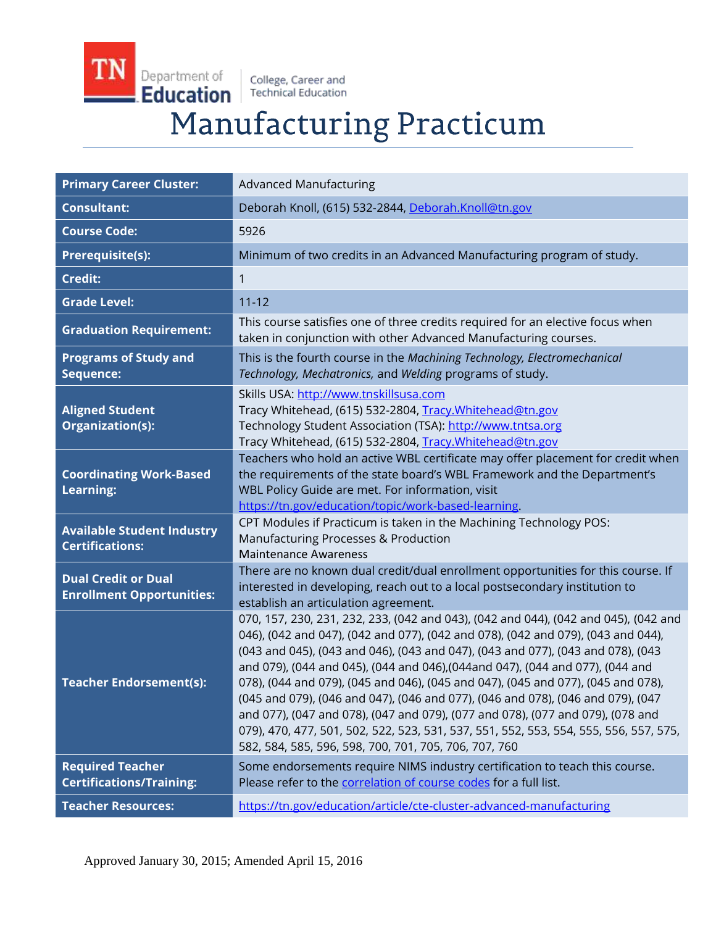TN Department of College, Career and<br>Technical Education Education

# **Manufacturing Practicum**

| <b>Primary Career Cluster:</b>                                 | <b>Advanced Manufacturing</b>                                                                                                                                                                                                                                                                                                                                                                                                                                                                                                                                                                                                                                                                                                                           |
|----------------------------------------------------------------|---------------------------------------------------------------------------------------------------------------------------------------------------------------------------------------------------------------------------------------------------------------------------------------------------------------------------------------------------------------------------------------------------------------------------------------------------------------------------------------------------------------------------------------------------------------------------------------------------------------------------------------------------------------------------------------------------------------------------------------------------------|
| <b>Consultant:</b>                                             | Deborah Knoll, (615) 532-2844, Deborah.Knoll@tn.gov                                                                                                                                                                                                                                                                                                                                                                                                                                                                                                                                                                                                                                                                                                     |
| <b>Course Code:</b>                                            | 5926                                                                                                                                                                                                                                                                                                                                                                                                                                                                                                                                                                                                                                                                                                                                                    |
| <b>Prerequisite(s):</b>                                        | Minimum of two credits in an Advanced Manufacturing program of study.                                                                                                                                                                                                                                                                                                                                                                                                                                                                                                                                                                                                                                                                                   |
| <b>Credit:</b>                                                 | $\mathbf{1}$                                                                                                                                                                                                                                                                                                                                                                                                                                                                                                                                                                                                                                                                                                                                            |
| <b>Grade Level:</b>                                            | $11 - 12$                                                                                                                                                                                                                                                                                                                                                                                                                                                                                                                                                                                                                                                                                                                                               |
| <b>Graduation Requirement:</b>                                 | This course satisfies one of three credits required for an elective focus when<br>taken in conjunction with other Advanced Manufacturing courses.                                                                                                                                                                                                                                                                                                                                                                                                                                                                                                                                                                                                       |
| <b>Programs of Study and</b><br>Sequence:                      | This is the fourth course in the Machining Technology, Electromechanical<br>Technology, Mechatronics, and Welding programs of study.                                                                                                                                                                                                                                                                                                                                                                                                                                                                                                                                                                                                                    |
| <b>Aligned Student</b><br><b>Organization(s):</b>              | Skills USA: http://www.tnskillsusa.com<br>Tracy Whitehead, (615) 532-2804, Tracy. Whitehead@tn.gov<br>Technology Student Association (TSA): http://www.tntsa.org<br>Tracy Whitehead, (615) 532-2804, Tracy.Whitehead@tn.gov                                                                                                                                                                                                                                                                                                                                                                                                                                                                                                                             |
| <b>Coordinating Work-Based</b><br><b>Learning:</b>             | Teachers who hold an active WBL certificate may offer placement for credit when<br>the requirements of the state board's WBL Framework and the Department's<br>WBL Policy Guide are met. For information, visit<br>https://tn.gov/education/topic/work-based-learning.                                                                                                                                                                                                                                                                                                                                                                                                                                                                                  |
| <b>Available Student Industry</b><br><b>Certifications:</b>    | CPT Modules if Practicum is taken in the Machining Technology POS:<br>Manufacturing Processes & Production<br><b>Maintenance Awareness</b>                                                                                                                                                                                                                                                                                                                                                                                                                                                                                                                                                                                                              |
| <b>Dual Credit or Dual</b><br><b>Enrollment Opportunities:</b> | There are no known dual credit/dual enrollment opportunities for this course. If<br>interested in developing, reach out to a local postsecondary institution to<br>establish an articulation agreement.                                                                                                                                                                                                                                                                                                                                                                                                                                                                                                                                                 |
| <b>Teacher Endorsement(s):</b>                                 | 070, 157, 230, 231, 232, 233, (042 and 043), (042 and 044), (042 and 045), (042 and<br>046), (042 and 047), (042 and 077), (042 and 078), (042 and 079), (043 and 044),<br>(043 and 045), (043 and 046), (043 and 047), (043 and 077), (043 and 078), (043<br>and 079), (044 and 045), (044 and 046), (044 and 047), (044 and 077), (044 and<br>078), (044 and 079), (045 and 046), (045 and 047), (045 and 077), (045 and 078),<br>(045 and 079), (046 and 047), (046 and 077), (046 and 078), (046 and 079), (047<br>and 077), (047 and 078), (047 and 079), (077 and 078), (077 and 079), (078 and<br>079), 470, 477, 501, 502, 522, 523, 531, 537, 551, 552, 553, 554, 555, 556, 557, 575,<br>582, 584, 585, 596, 598, 700, 701, 705, 706, 707, 760 |
| <b>Required Teacher</b><br><b>Certifications/Training:</b>     | Some endorsements require NIMS industry certification to teach this course.<br>Please refer to the correlation of course codes for a full list.                                                                                                                                                                                                                                                                                                                                                                                                                                                                                                                                                                                                         |
| <b>Teacher Resources:</b>                                      | https://tn.gov/education/article/cte-cluster-advanced-manufacturing                                                                                                                                                                                                                                                                                                                                                                                                                                                                                                                                                                                                                                                                                     |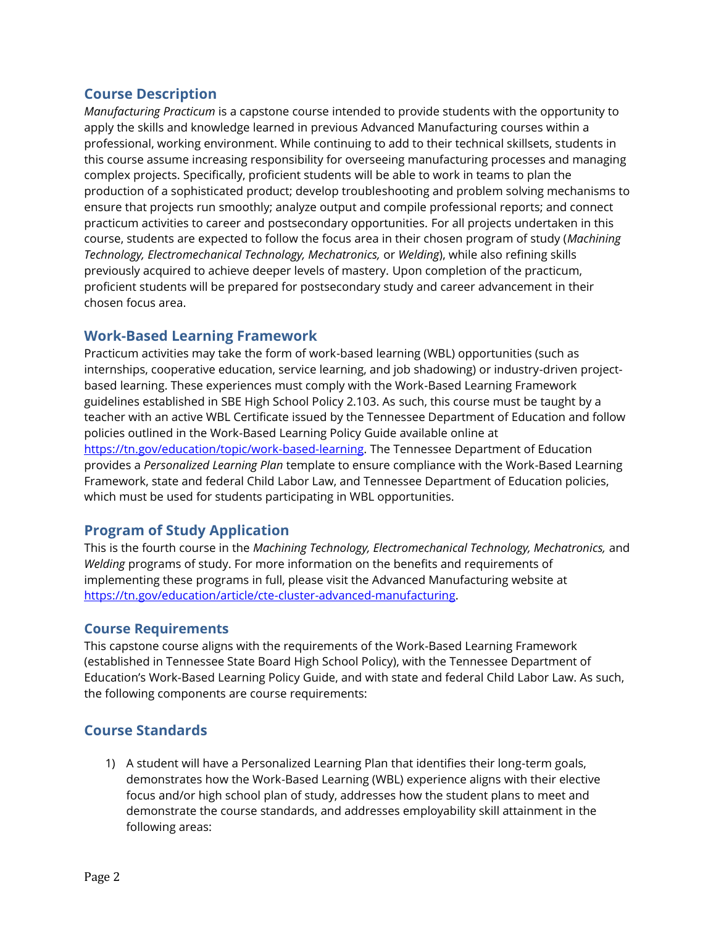## **Course Description**

*Manufacturing Practicum* is a capstone course intended to provide students with the opportunity to apply the skills and knowledge learned in previous Advanced Manufacturing courses within a professional, working environment. While continuing to add to their technical skillsets, students in this course assume increasing responsibility for overseeing manufacturing processes and managing complex projects. Specifically, proficient students will be able to work in teams to plan the production of a sophisticated product; develop troubleshooting and problem solving mechanisms to ensure that projects run smoothly; analyze output and compile professional reports; and connect practicum activities to career and postsecondary opportunities. For all projects undertaken in this course, students are expected to follow the focus area in their chosen program of study (*Machining Technology, Electromechanical Technology, Mechatronics,* or *Welding*), while also refining skills previously acquired to achieve deeper levels of mastery. Upon completion of the practicum, proficient students will be prepared for postsecondary study and career advancement in their chosen focus area.

# **Work-Based Learning Framework**

Practicum activities may take the form of work-based learning (WBL) opportunities (such as internships, cooperative education, service learning, and job shadowing) or industry-driven projectbased learning. These experiences must comply with the Work-Based Learning Framework guidelines established in SBE High School Policy 2.103. As such, this course must be taught by a teacher with an active WBL Certificate issued by the Tennessee Department of Education and follow policies outlined in the Work-Based Learning Policy Guide available online at [https://tn.gov/education/topic/work-based-learning.](https://tn.gov/education/topic/work-based-learning) The Tennessee Department of Education provides a *Personalized Learning Plan* template to ensure compliance with the Work-Based Learning Framework, state and federal Child Labor Law, and Tennessee Department of Education policies, which must be used for students participating in WBL opportunities.

# **Program of Study Application**

This is the fourth course in the *Machining Technology, Electromechanical Technology, Mechatronics,* and *Welding* programs of study. For more information on the benefits and requirements of implementing these programs in full, please visit the Advanced Manufacturing website at [https://tn.gov/education/article/cte-cluster-advanced-manufacturing.](https://tn.gov/education/article/cte-cluster-advanced-manufacturing)

## **Course Requirements**

This capstone course aligns with the requirements of the Work-Based Learning Framework (established in Tennessee State Board High School Policy), with the Tennessee Department of Education's Work-Based Learning Policy Guide, and with state and federal Child Labor Law. As such, the following components are course requirements:

# **Course Standards**

1) A student will have a Personalized Learning Plan that identifies their long-term goals, demonstrates how the Work-Based Learning (WBL) experience aligns with their elective focus and/or high school plan of study, addresses how the student plans to meet and demonstrate the course standards, and addresses employability skill attainment in the following areas: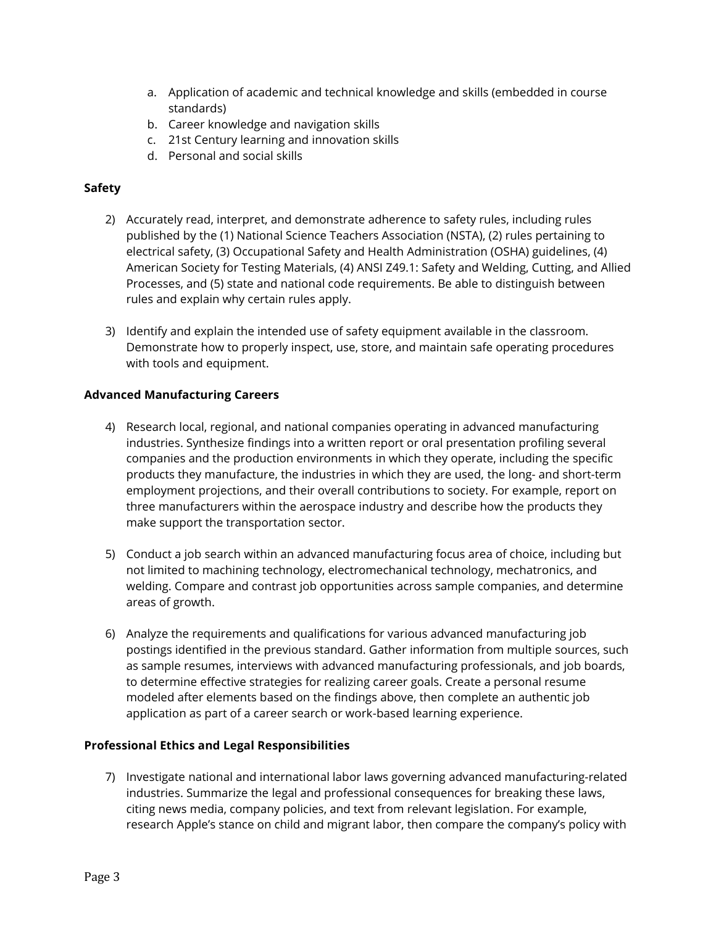- a. Application of academic and technical knowledge and skills (embedded in course standards)
- b. Career knowledge and navigation skills
- c. 21st Century learning and innovation skills
- d. Personal and social skills

## **Safety**

- 2) Accurately read, interpret, and demonstrate adherence to safety rules, including rules published by the (1) National Science Teachers Association (NSTA), (2) rules pertaining to electrical safety, (3) Occupational Safety and Health Administration (OSHA) guidelines, (4) American Society for Testing Materials, (4) ANSI Z49.1: Safety and Welding, Cutting, and Allied Processes, and (5) state and national code requirements. Be able to distinguish between rules and explain why certain rules apply.
- 3) Identify and explain the intended use of safety equipment available in the classroom. Demonstrate how to properly inspect, use, store, and maintain safe operating procedures with tools and equipment.

#### **Advanced Manufacturing Careers**

- 4) Research local, regional, and national companies operating in advanced manufacturing industries. Synthesize findings into a written report or oral presentation profiling several companies and the production environments in which they operate, including the specific products they manufacture, the industries in which they are used, the long- and short-term employment projections, and their overall contributions to society. For example, report on three manufacturers within the aerospace industry and describe how the products they make support the transportation sector.
- 5) Conduct a job search within an advanced manufacturing focus area of choice, including but not limited to machining technology, electromechanical technology, mechatronics, and welding. Compare and contrast job opportunities across sample companies, and determine areas of growth.
- 6) Analyze the requirements and qualifications for various advanced manufacturing job postings identified in the previous standard. Gather information from multiple sources, such as sample resumes, interviews with advanced manufacturing professionals, and job boards, to determine effective strategies for realizing career goals. Create a personal resume modeled after elements based on the findings above, then complete an authentic job application as part of a career search or work-based learning experience.

#### **Professional Ethics and Legal Responsibilities**

7) Investigate national and international labor laws governing advanced manufacturing-related industries. Summarize the legal and professional consequences for breaking these laws, citing news media, company policies, and text from relevant legislation. For example, research Apple's stance on child and migrant labor, then compare the company's policy with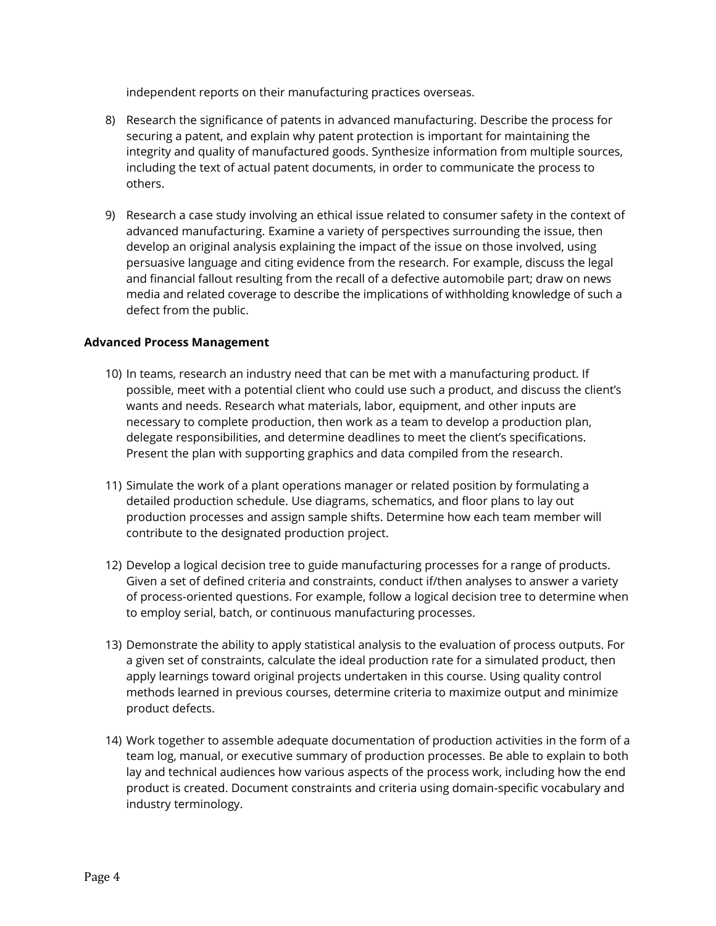independent reports on their manufacturing practices overseas.

- 8) Research the significance of patents in advanced manufacturing. Describe the process for securing a patent, and explain why patent protection is important for maintaining the integrity and quality of manufactured goods. Synthesize information from multiple sources, including the text of actual patent documents, in order to communicate the process to others.
- 9) Research a case study involving an ethical issue related to consumer safety in the context of advanced manufacturing. Examine a variety of perspectives surrounding the issue, then develop an original analysis explaining the impact of the issue on those involved, using persuasive language and citing evidence from the research. For example, discuss the legal and financial fallout resulting from the recall of a defective automobile part; draw on news media and related coverage to describe the implications of withholding knowledge of such a defect from the public.

#### **Advanced Process Management**

- 10) In teams, research an industry need that can be met with a manufacturing product. If possible, meet with a potential client who could use such a product, and discuss the client's wants and needs. Research what materials, labor, equipment, and other inputs are necessary to complete production, then work as a team to develop a production plan, delegate responsibilities, and determine deadlines to meet the client's specifications. Present the plan with supporting graphics and data compiled from the research.
- 11) Simulate the work of a plant operations manager or related position by formulating a detailed production schedule. Use diagrams, schematics, and floor plans to lay out production processes and assign sample shifts. Determine how each team member will contribute to the designated production project.
- 12) Develop a logical decision tree to guide manufacturing processes for a range of products. Given a set of defined criteria and constraints, conduct if/then analyses to answer a variety of process-oriented questions. For example, follow a logical decision tree to determine when to employ serial, batch, or continuous manufacturing processes.
- 13) Demonstrate the ability to apply statistical analysis to the evaluation of process outputs. For a given set of constraints, calculate the ideal production rate for a simulated product, then apply learnings toward original projects undertaken in this course. Using quality control methods learned in previous courses, determine criteria to maximize output and minimize product defects.
- 14) Work together to assemble adequate documentation of production activities in the form of a team log, manual, or executive summary of production processes. Be able to explain to both lay and technical audiences how various aspects of the process work, including how the end product is created. Document constraints and criteria using domain-specific vocabulary and industry terminology.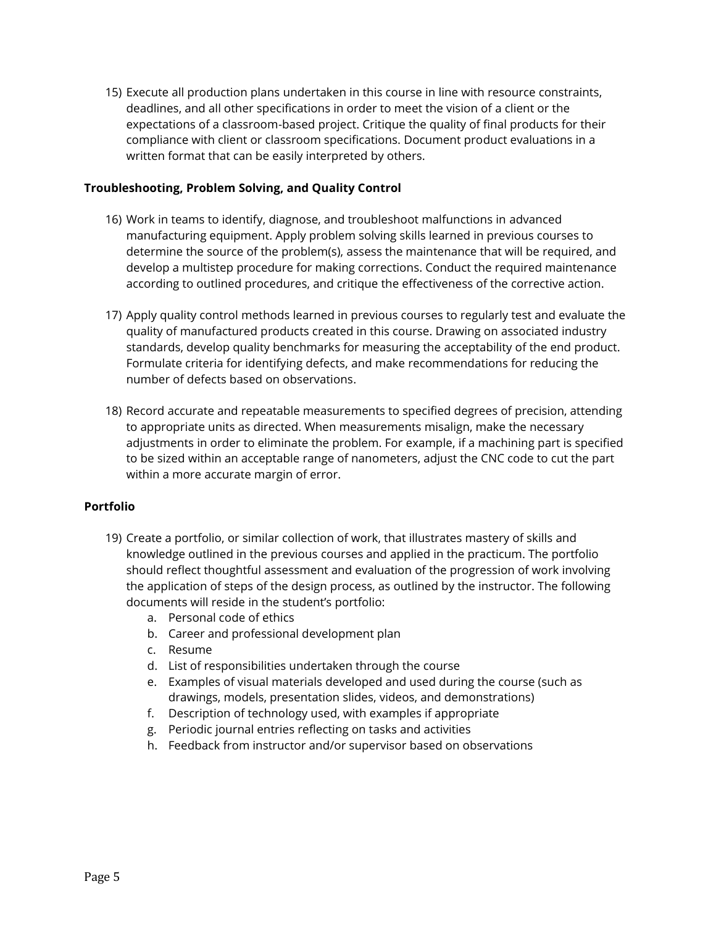15) Execute all production plans undertaken in this course in line with resource constraints, deadlines, and all other specifications in order to meet the vision of a client or the expectations of a classroom-based project. Critique the quality of final products for their compliance with client or classroom specifications. Document product evaluations in a written format that can be easily interpreted by others.

### **Troubleshooting, Problem Solving, and Quality Control**

- 16) Work in teams to identify, diagnose, and troubleshoot malfunctions in advanced manufacturing equipment. Apply problem solving skills learned in previous courses to determine the source of the problem(s), assess the maintenance that will be required, and develop a multistep procedure for making corrections. Conduct the required maintenance according to outlined procedures, and critique the effectiveness of the corrective action.
- 17) Apply quality control methods learned in previous courses to regularly test and evaluate the quality of manufactured products created in this course. Drawing on associated industry standards, develop quality benchmarks for measuring the acceptability of the end product. Formulate criteria for identifying defects, and make recommendations for reducing the number of defects based on observations.
- 18) Record accurate and repeatable measurements to specified degrees of precision, attending to appropriate units as directed. When measurements misalign, make the necessary adjustments in order to eliminate the problem. For example, if a machining part is specified to be sized within an acceptable range of nanometers, adjust the CNC code to cut the part within a more accurate margin of error.

#### **Portfolio**

- 19) Create a portfolio, or similar collection of work, that illustrates mastery of skills and knowledge outlined in the previous courses and applied in the practicum. The portfolio should reflect thoughtful assessment and evaluation of the progression of work involving the application of steps of the design process, as outlined by the instructor. The following documents will reside in the student's portfolio:
	- a. Personal code of ethics
	- b. Career and professional development plan
	- c. Resume
	- d. List of responsibilities undertaken through the course
	- e. Examples of visual materials developed and used during the course (such as drawings, models, presentation slides, videos, and demonstrations)
	- f. Description of technology used, with examples if appropriate
	- g. Periodic journal entries reflecting on tasks and activities
	- h. Feedback from instructor and/or supervisor based on observations